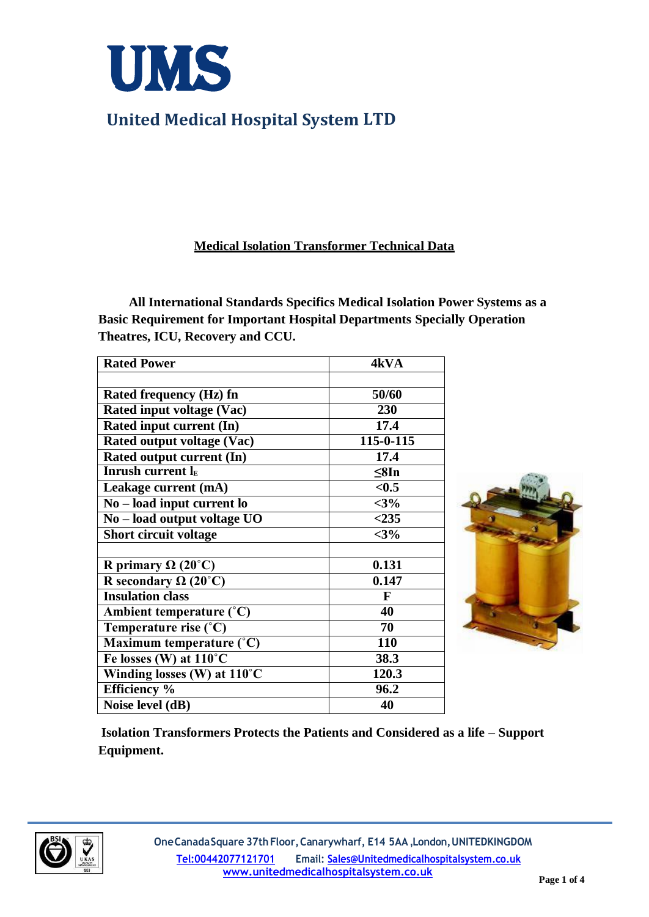

#### **Medical Isolation Transformer Technical Data**

**All International Standards Specifics Medical Isolation Power Systems as a Basic Requirement for Important Hospital Departments Specially Operation Theatres, ICU, Recovery and CCU.**

| <b>Rated Power</b>                   | 4kVA         |
|--------------------------------------|--------------|
|                                      |              |
| Rated frequency (Hz) fn              | 50/60        |
| Rated input voltage (Vac)            | 230          |
| Rated input current (In)             | 17.4         |
| Rated output voltage (Vac)           | 115-0-115    |
| Rated output current (In)            | 17.4         |
| <b>Inrush current lE</b>             | $\leq$ 8In   |
| Leakage current (mA)                 | < 0.5        |
| $No - load input current$            | $<$ 3%       |
| No - load output voltage UO          | $<$ 235      |
| Short circuit voltage                | $<$ 3%       |
|                                      |              |
| R primary $\Omega$ (20°C)            | 0.131        |
| R secondary $\Omega$ (20°C)          | 0.147        |
| <b>Insulation class</b>              | $\mathbf{F}$ |
| Ambient temperature $(^{\circ}C)$    | 40           |
| Temperature rise (°C)                | 70           |
| Maximum temperature (°C)             | 110          |
| Fe losses (W) at $110^{\circ}$ C     | 38.3         |
| Winding losses (W) at 110°C          | 120.3        |
| Efficiency %                         | 96.2         |
| $\overline{\text{Noise}}$ level (dB) | 40           |



**Isolation Transformers Protects the Patients and Considered as a life – Support Equipment.**

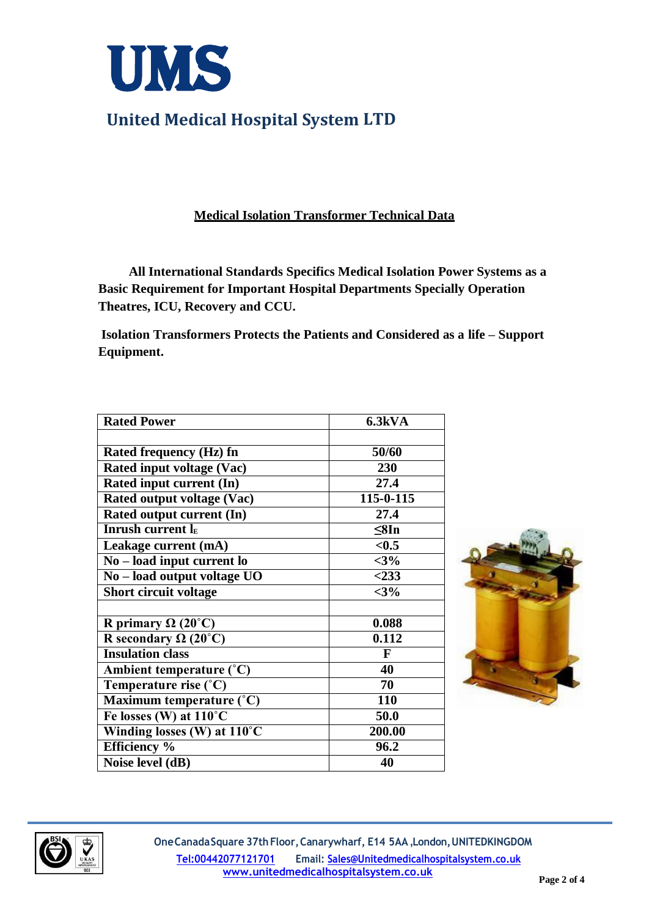

## **Medical Isolation Transformer Technical Data**

**All International Standards Specifics Medical Isolation Power Systems as a Basic Requirement for Important Hospital Departments Specially Operation Theatres, ICU, Recovery and CCU.**

**Isolation Transformers Protects the Patients and Considered as a life – Support Equipment.**

| <b>Rated Power</b>                     | 6.3kVA     |
|----------------------------------------|------------|
|                                        |            |
| <b>Rated frequency (Hz) fn</b>         | 50/60      |
| Rated input voltage (Vac)              | 230        |
| Rated input current (In)               | 27.4       |
| Rated output voltage (Vac)             | 115-0-115  |
| Rated output current (In)              | 27.4       |
| <b>Inrush current lE</b>               | $\leq$ 8In |
| Leakage current (mA)                   | < 0.5      |
| No – load input current lo             | $<$ 3%     |
| No - load output voltage UO            | $<$ 233    |
| Short circuit voltage                  | $<$ 3%     |
|                                        |            |
| R primary $\Omega$ (20°C)              | 0.088      |
| R secondary $\Omega$ (20°C)            | 0.112      |
| <b>Insulation class</b>                | F          |
| Ambient temperature (°C)               | 40         |
| Temperature rise (°C)                  | 70         |
| Maximum temperature (°C)               | 110        |
| Fe losses (W) at 110°C                 | 50.0       |
| Winding losses $(W)$ at $110^{\circ}C$ | 200.00     |
| <b>Efficiency</b> %                    | 96.2       |
| Noise level $(dB)$                     | 40         |



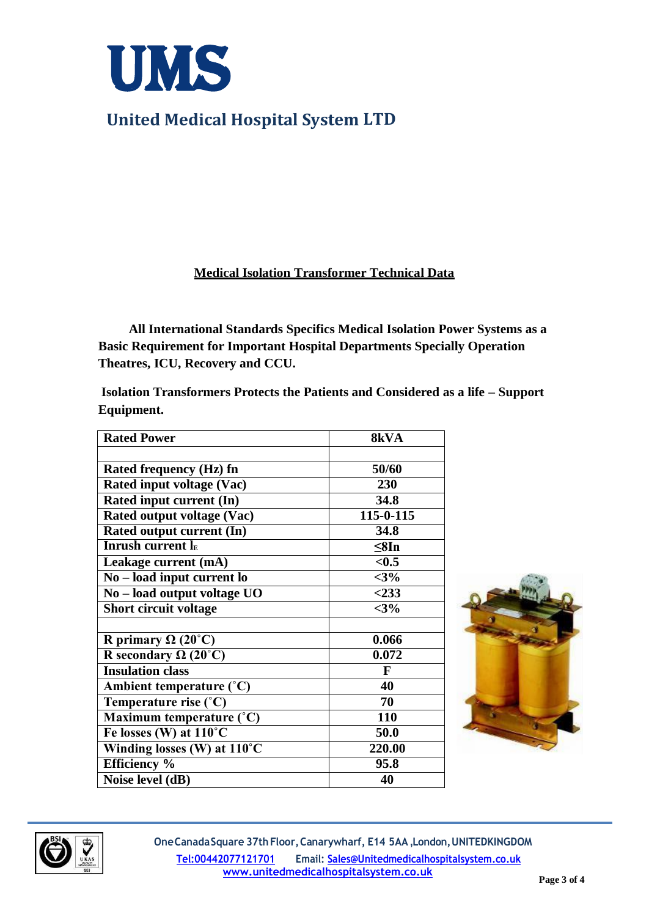

#### **Medical Isolation Transformer Technical Data**

**All International Standards Specifics Medical Isolation Power Systems as a Basic Requirement for Important Hospital Departments Specially Operation Theatres, ICU, Recovery and CCU.**

**Isolation Transformers Protects the Patients and Considered as a life – Support Equipment.**

| <b>Rated Power</b>                | 8kVA       |
|-----------------------------------|------------|
|                                   |            |
| Rated frequency (Hz) fn           | 50/60      |
| <b>Rated input voltage (Vac)</b>  | 230        |
| Rated input current (In)          | 34.8       |
| Rated output voltage (Vac)        | 115-0-115  |
| Rated output current (In)         | 34.8       |
| <b>Inrush current lE</b>          | $\leq$ 8In |
| Leakage current (mA)              | < 0.5      |
| $No - load input current$         | $<$ 3%     |
| No - load output voltage UO       | $<$ 233    |
| <b>Short circuit voltage</b>      | $<$ 3%     |
|                                   |            |
| R primary $\Omega$ (20°C)         | 0.066      |
| R secondary $\Omega$ (20°C)       | 0.072      |
| <b>Insulation class</b>           | F          |
| Ambient temperature $(^{\circ}C)$ | 40         |
| Temperature rise (°C)             | 70         |
| Maximum temperature $(^{\circ}C)$ | 110        |
| Fe losses (W) at 110°C            | 50.0       |
| Winding losses (W) at 110°C       | 220.00     |
| <b>Efficiency</b> %               | 95.8       |
| Noise level (dB)                  | 40         |





**OneCanadaSquare 37thFloor,Canarywharf, E14 5AA ,London,UNITEDKINGDOM Tel:00442077121701 Email[: Sales@Unitedmedicalhospitalsystem.co.uk](mailto:Sales@Unitedmedicalhospitalsystem.co.uk) [www.unitedmedicalhospitalsystem.co.uk](http://www.unitedmedicalhospitalsystem.co.uk/)**